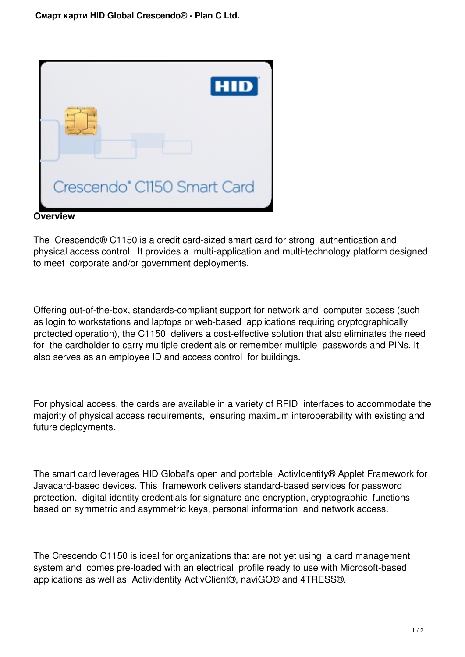

**Overview** 

The Crescendo® C1150 is a credit card-sized smart card for strong authentication and physical access control. It provides a multi-application and multi-technology platform designed to meet corporate and/or government deployments.

Offering out-of-the-box, standards-compliant support for network and computer access (such as login to workstations and laptops or web-based applications requiring cryptographically protected operation), the C1150 delivers a cost-effective solution that also eliminates the need for the cardholder to carry multiple credentials or remember multiple passwords and PINs. It also serves as an employee ID and access control for buildings.

For physical access, the cards are available in a variety of RFID interfaces to accommodate the majority of physical access requirements, ensuring maximum interoperability with existing and future deployments.

The smart card leverages HID Global's open and portable ActivIdentity® Applet Framework for Javacard-based devices. This framework delivers standard-based services for password protection, digital identity credentials for signature and encryption, cryptographic functions based on symmetric and asymmetric keys, personal information and network access.

The Crescendo C1150 is ideal for organizations that are not yet using a card management system and comes pre-loaded with an electrical profile ready to use with Microsoft-based applications as well as Actividentity ActivClient®, naviGO® and 4TRESS®.